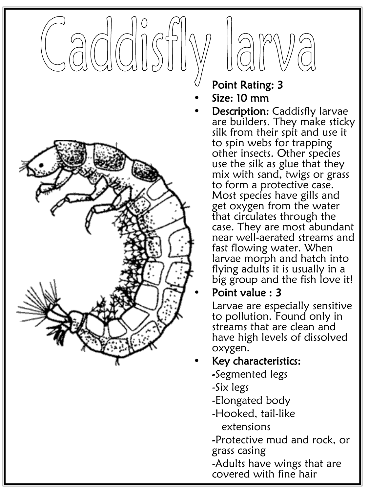# $\Box$ acio



#### Point Rating: 3

- Size: 10 mm
	- **Description: Caddisfly larvae** are builders. They make sticky silk from their spit and use it to spin webs for trapping other insects. Other species use the silk as glue that they mix with sand, twigs or grass to form a protective case. Most species have gills and get oxygen from the water that circulates through the case. They are most abundant near well-aerated streams and fast flowing water. When larvae morph and hatch into flying adults it is usually in a big group and the fish love it!

#### • Point value : 3

Larvae are especially sensitive to pollution. Found only in streams that are clean and have high levels of dissolved oxygen.

#### • Key characteristics:

- -Segmented legs
- -Six legs
- -Elongated body
- -Hooked, tail-like extensions

-Protective mud and rock, or grass casing

-Adults have wings that are covered with fine hair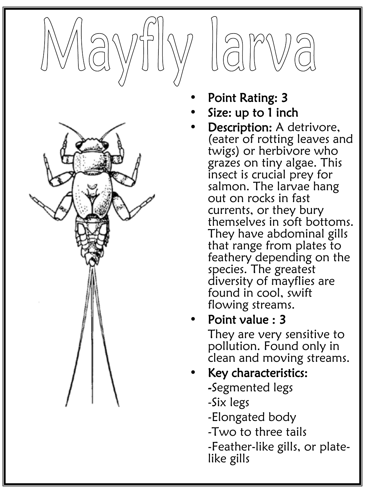



- Point Rating: 3
- Size: up to 1 inch

am

- Description: A detrivore, (eater of rotting leaves and twigs) or herbivore who grazes on tiny algae. This insect is crucial prey for salmon. The larvae hang out on rocks in fast currents, or they bury themselves in soft bottoms. They have abdominal gills that range from plates to feathery depending on the species. The greatest diversity of mayflies are found in cool, swift flowing streams.
- Point value : 3

They are very sensitive to pollution. Found only in clean and moving streams.

## Key characteristics:

- -Segmented legs
- -Six legs
- -Elongated body
- -Two to three tails
- -Feather-like gills, or plate-<br>like gills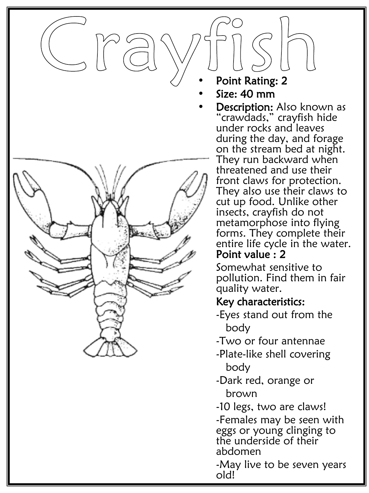

- Point Rating: 2
- Size: 40 mm
- Description: Also known as "crawdads," crayfish hide under rocks and leaves during the day, and forage on the stream bed at night. They run backward when threatened and use their front claws for protection. They also use their claws to cut up food. Unlike other insects, crayfish do not metamorphose into flying forms. They complete their entire life cycle in the water. Point value : 2

Somewhat sensitive to pollution. Find them in fair quality water.

#### • Key characteristics:

- -Eyes stand out from the body
- -Two or four antennae
- -Plate-like shell covering body
- -Dark red, orange or brown
- -10 legs, two are claws!

-Females may be seen with eggs or young clinging to the underside of their abdomen

-May live to be seven years old!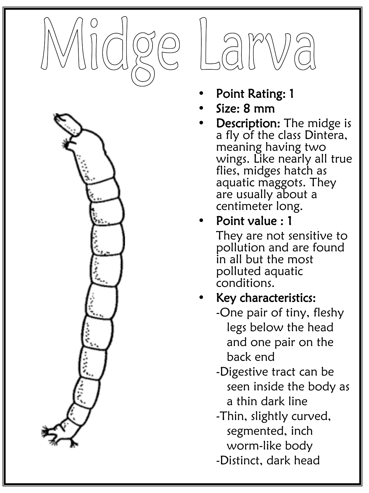





- Point Rating: 1
- Size: 8 mm
- Description: The midge is a fly of the class Dintera, meaning having two wings. Like nearly all true flies, midges hatch as aquatic maggots. They are usually about a centimeter long.
- Point value : 1

They are not sensitive to pollution and are found in all but the most polluted aquatic conditions.

#### Key characteristics:

-One pair of tiny, fleshy legs below the head and one pair on the back end

- -Digestive tract can be seen inside the body as a thin dark line
- -Thin, slightly curved, segmented, inch worm-like body
- -Distinct, dark head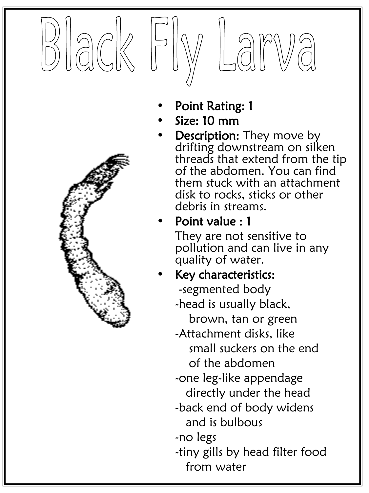

- Point Rating: 1
- Size: 10 mm
- **Description:** They move by drifting downstream on silken threads that extend from the tip of the abdomen. You can find them stuck with an attachment disk to rocks, sticks or other debris in streams.

# Point value : 1

They are not sensitive to pollution and can live in any quality of water.

Key characteristics:

-segmented body

-head is usually black,

brown, tan or green

-Attachment disks, like small suckers on the end of the abdomen

-one leg-like appendage directly under the head

-back end of body widens and is bulbous

-no legs

-tiny gills by head filter food from water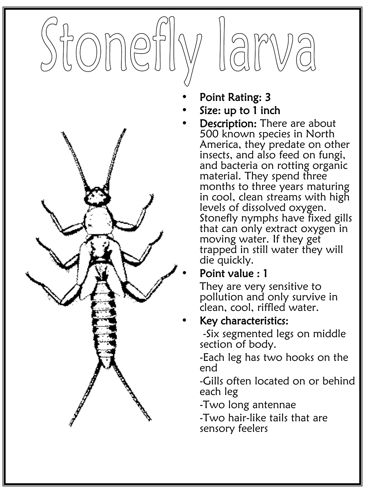



- Point Rating: 3
- Size: up to 1 inch
	- **Description: There are about** 500 known species in North America, they predate on other insects, and also feed on fungi, and bacteria on rotting organic material. They spend three months to three years maturing in cool, clean streams with high levels of dissolved oxygen. Stonefly nymphs have fixed gills that can only extract oxygen in moving water. If they get trapped in still water they will die quickly.

#### • Point value : 1

They are very sensitive to pollution and only survive in clean, cool, riffled water.

#### • Key characteristics:

-Six segmented legs on middle section of body.

-Each leg has two hooks on the end

-Gills often located on or behind each leg

-Two long antennae

-Two hair-like tails that are sensory feelers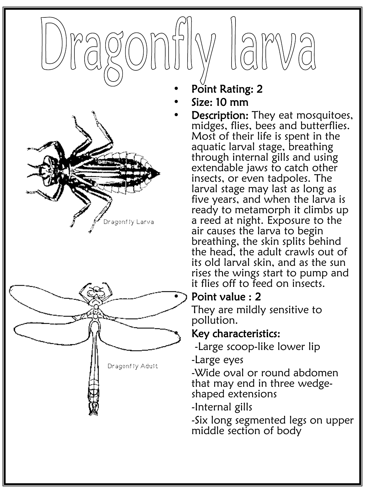



- Point Rating: 2
- Size: 10 mm
	- **Description:** They eat mosquitoes, midges, flies, bees and butterflies. Most of their life is spent in the aquatic larval stage, breathing through internal gills and using extendable jaws to catch other insects, or even tadpoles. The larval stage may last as long as five years, and when the larva is ready to metamorph it climbs up a reed at night. Exposure to the air causes the larva to begin breathing, the skin splits behind the head, the adult crawls out of its old larval skin, and as the sun rises the wings start to pump and it flies off to feed on insects.

#### Point value : 2

They are mildly sensitive to pollution.

#### • Key characteristics:

-Large scoop-like lower lip

-Large eyes

-Wide oval or round abdomen that may end in three wedge- shaped extensions

-Internal gills

-Six long segmented legs on upper middle section of body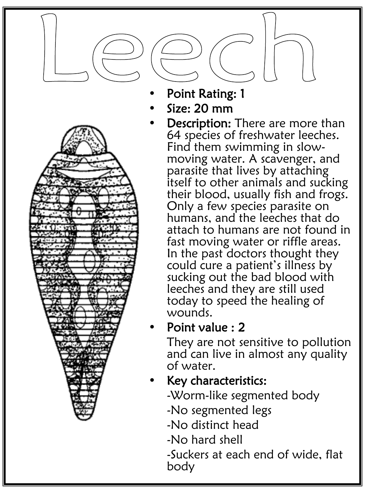

- Point Rating: 1
- Size: 20 mm
	- Description: There are more than 64 species of freshwater leeches. Find them swimming in slow- moving water. A scavenger, and parasite that lives by attaching itself to other animals and sucking their blood, usually fish and frogs. Only a few species parasite on humans, and the leeches that do attach to humans are not found in fast moving water or riffle areas. In the past doctors thought they could cure a patient's illness by sucking out the bad blood with leeches and they are still used today to speed the healing of wounds.

#### • Point value : 2

They are not sensitive to pollution and can live in almost any quality of water.

## • Key characteristics:

- -Worm-like segmented body
- -No segmented legs
- -No distinct head
- -No hard shell
- -Suckers at each end of wide, flat body